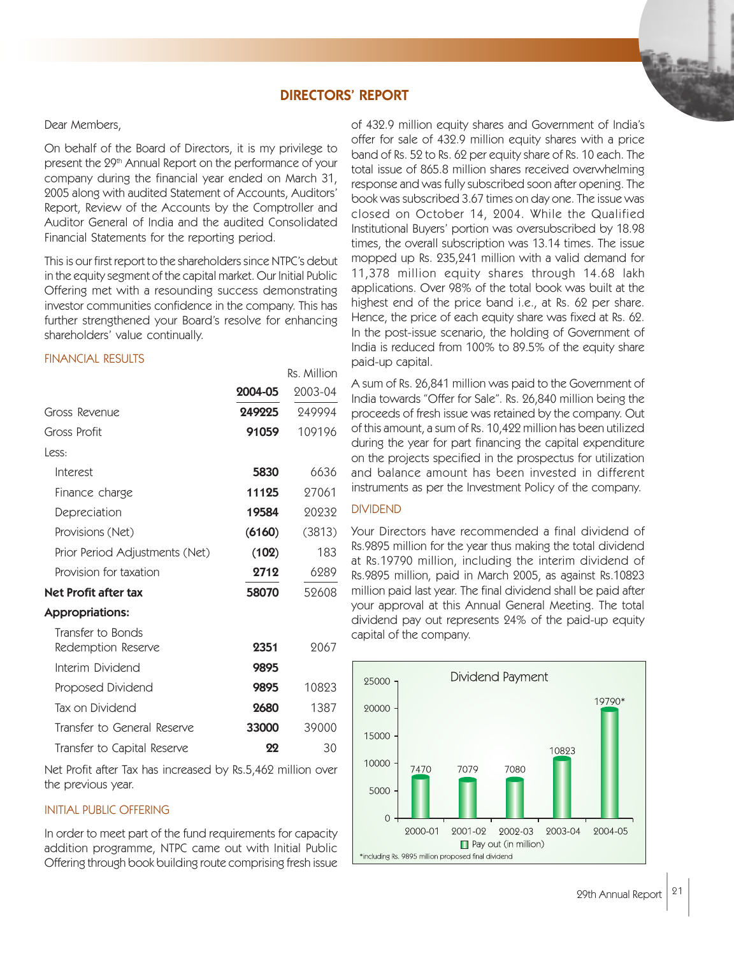## DIRECTORS' REPORT

Rs. Million

#### Dear Members,

On behalf of the Board of Directors, it is my privilege to present the 29<sup>th</sup> Annual Report on the performance of your company during the financial year ended on March 31, 2005 along with audited Statement of Accounts, Auditors' Report, Review of the Accounts by the Comptroller and Auditor General of India and the audited Consolidated Financial Statements for the reporting period.

This is our first report to the shareholders since NTPC's debut in the equity segment of the capital market. Our Initial Public Offering met with a resounding success demonstrating investor communities confidence in the company. This has further strengthened your Board's resolve for enhancing shareholders' value continually.

## FINANCIAL RESULTS

|                                         | 2004-05 | 2003-04 |
|-----------------------------------------|---------|---------|
| Gross Revenue                           | 249225  | 249994  |
| Gross Profit                            | 91059   | 109196  |
| Less:                                   |         |         |
| Interest                                | 5830    | 6636    |
| Finance charge                          | 11125   | 27061   |
| Depreciation                            | 19584   | 20232   |
| Provisions (Net)                        | (6160)  | (3813)  |
| Prior Period Adjustments (Net)          | (102)   | 183     |
| Provision for taxation                  | 2712    | 6289    |
| Net Profit after tax                    | 58070   | 52608   |
| <b>Appropriations:</b>                  |         |         |
| Transfer to Bonds<br>Redemption Reserve | 2351    | 2067    |
| Interim Dividend                        | 9895    |         |
| Proposed Dividend                       | 9895    | 10823   |
| Tax on Dividend                         | 2680    | 1387    |
| Transfer to General Reserve             | 33000   | 39000   |

Net Profit after Tax has increased by Rs.5,462 million over the previous year.

Transfer to Capital Reserve **22** 30

### INITIAL PUBLIC OFFERING

In order to meet part of the fund requirements for capacity addition programme, NTPC came out with Initial Public Offering through book building route comprising fresh issue

of 432.9 million equity shares and Government of India's offer for sale of 432.9 million equity shares with a price band of Rs. 52 to Rs. 62 per equity share of Rs. 10 each. The total issue of 865.8 million shares received overwhelming response and was fully subscribed soon after opening. The book was subscribed 3.67 times on day one. The issue was closed on October 14, 2004. While the Qualified Institutional Buyers' portion was oversubscribed by 18.98 times, the overall subscription was 13.14 times. The issue mopped up Rs. 235,241 million with a valid demand for 11,378 million equity shares through 14.68 lakh applications. Over 98% of the total book was built at the highest end of the price band i.e., at Rs. 62 per share. Hence, the price of each equity share was fixed at Rs. 62. In the post-issue scenario, the holding of Government of India is reduced from 100% to 89.5% of the equity share paid-up capital.

A sum of Rs. 26,841 million was paid to the Government of India towards "Offer for Sale". Rs. 26,840 million being the proceeds of fresh issue was retained by the company. Out of this amount, a sum of Rs. 10,422 million has been utilized during the year for part financing the capital expenditure on the projects specified in the prospectus for utilization and balance amount has been invested in different instruments as per the Investment Policy of the company.

## DIVIDEND

Your Directors have recommended a final dividend of Rs.9895 million for the year thus making the total dividend at Rs.19790 million, including the interim dividend of Rs.9895 million, paid in March 2005, as against Rs.10823 million paid last year. The final dividend shall be paid after your approval at this Annual General Meeting. The total dividend pay out represents 24% of the paid-up equity capital of the company.

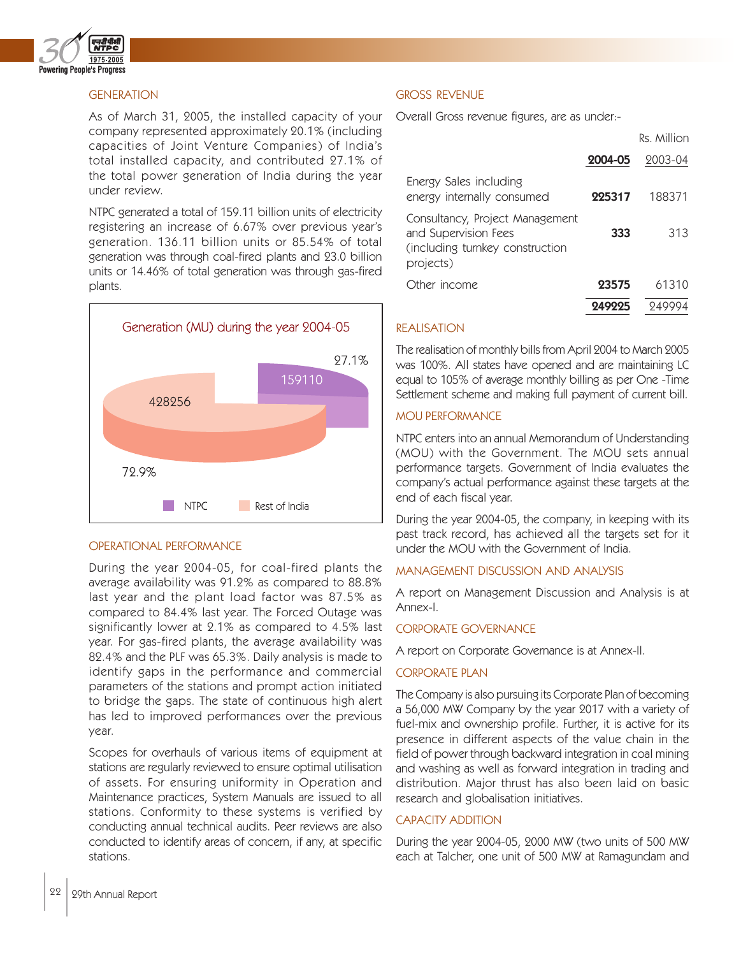

## **GENERATION**

As of March 31, 2005, the installed capacity of your company represented approximately 20.1% (including capacities of Joint Venture Companies) of India's total installed capacity, and contributed 27.1% of the total power generation of India during the year under review.

NTPC generated a total of 159.11 billion units of electricity registering an increase of 6.67% over previous year's generation. 136.11 billion units or 85.54% of total generation was through coal-fired plants and 23.0 billion units or 14.46% of total generation was through gas-fired plants.



## OPERATIONAL PERFORMANCE

During the year 2004-05, for coal-fired plants the average availability was 91.2% as compared to 88.8% last year and the plant load factor was 87.5% as compared to 84.4% last year. The Forced Outage was significantly lower at 2.1% as compared to 4.5% last year. For gas-fired plants, the average availability was 82.4% and the PLF was 65.3%. Daily analysis is made to identify gaps in the performance and commercial parameters of the stations and prompt action initiated to bridge the gaps. The state of continuous high alert has led to improved performances over the previous year.

Scopes for overhauls of various items of equipment at stations are regularly reviewed to ensure optimal utilisation of assets. For ensuring uniformity in Operation and Maintenance practices, System Manuals are issued to all stations. Conformity to these systems is verified by conducting annual technical audits. Peer reviews are also conducted to identify areas of concern, if any, at specific stations.

### GROSS REVENUE

Overall Gross revenue figures, are as under:-

|                                                                                                         |         | Rs. Million |
|---------------------------------------------------------------------------------------------------------|---------|-------------|
|                                                                                                         | 2004-05 | 2003-04     |
| Energy Sales including<br>energy internally consumed                                                    | 225317  | 188371      |
| Consultancy, Project Management<br>and Supervision Fees<br>(including turnkey construction<br>projects) | 333     | 313         |
| Other income                                                                                            | 23575   | 61310       |
|                                                                                                         |         |             |

### REALISATION

The realisation of monthly bills from April 2004 to March 2005 was 100%. All states have opened and are maintaining LC equal to 105% of average monthly billing as per One -Time Settlement scheme and making full payment of current bill.

### MOU PERFORMANCE

NTPC enters into an annual Memorandum of Understanding (MOU) with the Government. The MOU sets annual performance targets. Government of India evaluates the company's actual performance against these targets at the end of each fiscal year.

During the year 2004-05, the company, in keeping with its past track record, has achieved all the targets set for it under the MOU with the Government of India.

### MANAGEMENT DISCUSSION AND ANALYSIS

A report on Management Discussion and Analysis is at Annex-I.

#### CORPORATE GOVERNANCE

A report on Corporate Governance is at Annex-II.

#### CORPORATE PLAN

The Company is also pursuing its Corporate Plan of becoming a 56,000 MW Company by the year 2017 with a variety of fuel-mix and ownership profile. Further, it is active for its presence in different aspects of the value chain in the field of power through backward integration in coal mining and washing as well as forward integration in trading and distribution. Major thrust has also been laid on basic research and globalisation initiatives.

## CAPACITY ADDITION

During the year 2004-05, 2000 MW (two units of 500 MW each at Talcher, one unit of 500 MW at Ramagundam and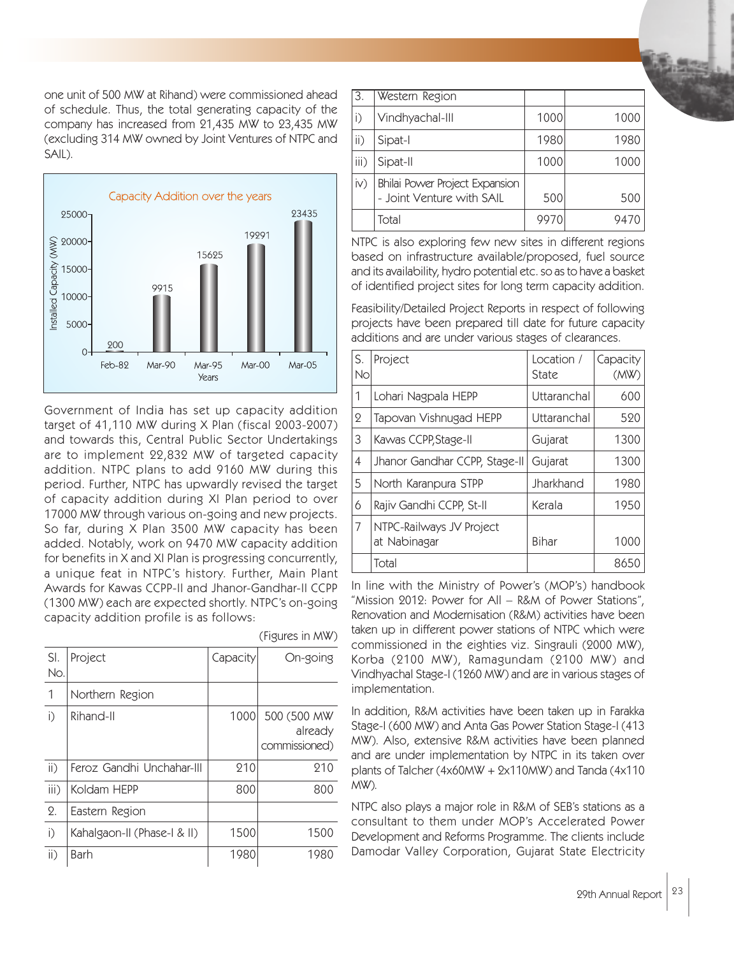one unit of 500 MW at Rihand) were commissioned ahead of schedule. Thus, the total generating capacity of the company has increased from 21,435 MW to 23,435 MW (excluding 314 MW owned by Joint Ventures of NTPC and SAIL).



Government of India has set up capacity addition target of 41,110 MW during X Plan (fiscal 2003-2007) and towards this, Central Public Sector Undertakings are to implement 22,832 MW of targeted capacity addition. NTPC plans to add 9160 MW during this period. Further, NTPC has upwardly revised the target of capacity addition during XI Plan period to over 17000 MW through various on-going and new projects. So far, during X Plan 3500 MW capacity has been added. Notably, work on 9470 MW capacity addition for benefits in X and XI Plan is progressing concurrently, a unique feat in NTPC's history. Further, Main Plant Awards for Kawas CCPP-II and Jhanor-Gandhar-II CCPP (1300 MW) each are expected shortly. NTPC's on-going capacity addition profile is as follows:

(Figures in MW)

| SI.<br>No.        | Project                     | Capacity | On-going                                 |
|-------------------|-----------------------------|----------|------------------------------------------|
| 1                 | Northern Region             |          |                                          |
| i)                | Rihand-II                   | 1000     | 500 (500 MW)<br>already<br>commissioned) |
| $\overline{ii}$ ) | Feroz Gandhi Unchahar-III   | 210      | 210                                      |
| iii)              | Koldam HEPP                 | 800      | 800                                      |
| $\Omega$ .        | Eastern Region              |          |                                          |
| $\mathsf{i}$      | Kahalgaon-II (Phase-I & II) | 1500     | 1500                                     |
| $\mathsf{ii}$ )   | Barh                        | 1980     | 1980                                     |

| i)              | Vindhyachal-III                                             | 1000 | 1000 |
|-----------------|-------------------------------------------------------------|------|------|
| $\mathsf{ii}$ ) | Sipat-I                                                     | 1980 | 1980 |
| iii)            | Sipat-II                                                    | 1000 | 1000 |
| $\mathsf{iv}$   | Bhilai Power Project Expansion<br>- Joint Venture with SAIL | 500  | 500  |
|                 | Total                                                       | 9970 | 9470 |

3. Western Region

NTPC is also exploring few new sites in different regions based on infrastructure available/proposed, fuel source and its availability, hydro potential etc. so as to have a basket of identified project sites for long term capacity addition.

Feasibility/Detailed Project Reports in respect of following projects have been prepared till date for future capacity additions and are under various stages of clearances.

| S.<br>No       | Project                                  | Location /<br>State | Capacity<br>(MW) |
|----------------|------------------------------------------|---------------------|------------------|
| 1              | Lohari Nagpala HEPP                      | Uttaranchal         | 600              |
| $\mathbf 2$    | Tapovan Vishnugad HEPP                   | Uttaranchal         | 520              |
| 3              | Kawas CCPP, Stage-II                     | Gujarat             | 1300             |
| $\overline{4}$ | Jhanor Gandhar CCPP, Stage-II            | Gujarat             | 1300             |
| 5              | North Karanpura STPP                     | Jharkhand           | 1980             |
| 6              | Rajiv Gandhi CCPP, St-II                 | Kerala              | 1950             |
| 7              | NTPC-Railways JV Project<br>at Nabinagar | Bihar               | 1000             |
|                | Total                                    |                     | 8650             |

In line with the Ministry of Power's (MOP's) handbook "Mission 2012: Power for All – R&M of Power Stations", Renovation and Modernisation (R&M) activities have been taken up in different power stations of NTPC which were commissioned in the eighties viz. Singrauli (2000 MW), Korba (2100 MW), Ramagundam (2100 MW) and Vindhyachal Stage-I (1260 MW) and are in various stages of implementation.

In addition, R&M activities have been taken up in Farakka Stage-I (600 MW) and Anta Gas Power Station Stage-I (413 MW). Also, extensive R&M activities have been planned and are under implementation by NTPC in its taken over plants of Talcher (4x60MW + 2x110MW) and Tanda (4x110 MW).

NTPC also plays a major role in R&M of SEB's stations as a consultant to them under MOP's Accelerated Power Development and Reforms Programme. The clients include Damodar Valley Corporation, Gujarat State Electricity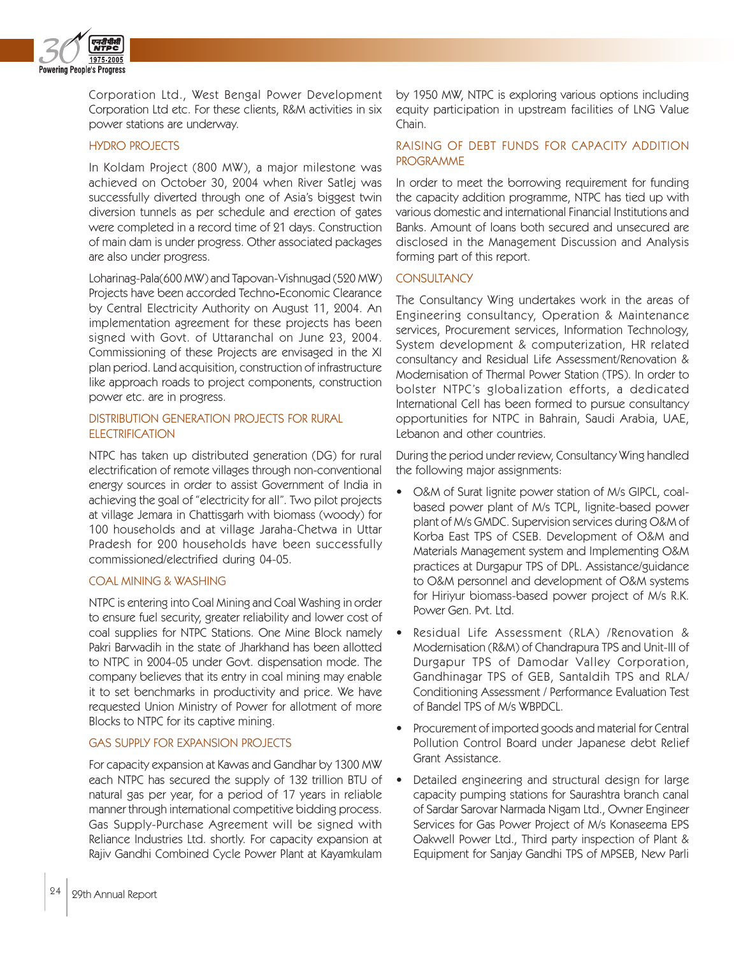

Corporation Ltd., West Bengal Power Development Corporation Ltd etc. For these clients, R&M activities in six power stations are underway.

## HYDRO PROJECTS

In Koldam Project (800 MW), a major milestone was achieved on October 30, 2004 when River Satlej was successfully diverted through one of Asia's biggest twin diversion tunnels as per schedule and erection of gates were completed in a record time of 21 days. Construction of main dam is under progress. Other associated packages are also under progress.

Loharinag-Pala(600 MW) and Tapovan-Vishnugad (520 MW) Projects have been accorded Techno-Economic Clearance by Central Electricity Authority on August 11, 2004. An implementation agreement for these projects has been signed with Govt. of Uttaranchal on June 23, 2004. Commissioning of these Projects are envisaged in the XI plan period. Land acquisition, construction of infrastructure like approach roads to project components, construction power etc. are in progress.

## DISTRIBUTION GENERATION PROJECTS FOR RURAL **ELECTRIFICATION**

NTPC has taken up distributed generation (DG) for rural electrification of remote villages through non-conventional energy sources in order to assist Government of India in achieving the goal of "electricity for all". Two pilot projects at village Jemara in Chattisgarh with biomass (woody) for 100 households and at village Jaraha-Chetwa in Uttar Pradesh for 200 households have been successfully commissioned/electrified during 04-05.

## COAL MINING & WASHING

NTPC is entering into Coal Mining and Coal Washing in order to ensure fuel security, greater reliability and lower cost of coal supplies for NTPC Stations. One Mine Block namely Pakri Barwadih in the state of Jharkhand has been allotted to NTPC in 2004-05 under Govt. dispensation mode. The company believes that its entry in coal mining may enable it to set benchmarks in productivity and price. We have requested Union Ministry of Power for allotment of more Blocks to NTPC for its captive mining.

### GAS SUPPLY FOR EXPANSION PROJECTS

For capacity expansion at Kawas and Gandhar by 1300 MW each NTPC has secured the supply of 132 trillion BTU of natural gas per year, for a period of 17 years in reliable manner through international competitive bidding process. Gas Supply-Purchase Agreement will be signed with Reliance Industries Ltd. shortly. For capacity expansion at Rajiv Gandhi Combined Cycle Power Plant at Kayamkulam

by 1950 MW, NTPC is exploring various options including equity participation in upstream facilities of LNG Value Chain.

## RAISING OF DEBT FUNDS FOR CAPACITY ADDITION PROGRAMME

In order to meet the borrowing requirement for funding the capacity addition programme, NTPC has tied up with various domestic and international Financial Institutions and Banks. Amount of loans both secured and unsecured are disclosed in the Management Discussion and Analysis forming part of this report.

## **CONSULTANCY**

The Consultancy Wing undertakes work in the areas of Engineering consultancy, Operation & Maintenance services, Procurement services, Information Technology, System development & computerization, HR related consultancy and Residual Life Assessment/Renovation & Modernisation of Thermal Power Station (TPS). In order to bolster NTPC's globalization efforts, a dedicated International Cell has been formed to pursue consultancy opportunities for NTPC in Bahrain, Saudi Arabia, UAE, Lebanon and other countries.

During the period under review, Consultancy Wing handled the following major assignments:

- O&M of Surat lignite power station of M/s GIPCL, coalbased power plant of M/s TCPL, lignite-based power plant of M/s GMDC. Supervision services during O&M of Korba East TPS of CSEB. Development of O&M and Materials Management system and Implementing O&M practices at Durgapur TPS of DPL. Assistance/guidance to O&M personnel and development of O&M systems for Hiriyur biomass-based power project of M/s R.K. Power Gen. Pvt. Ltd.
- Residual Life Assessment (RLA) /Renovation & Modernisation (R&M) of Chandrapura TPS and Unit-III of Durgapur TPS of Damodar Valley Corporation, Gandhinagar TPS of GEB, Santaldih TPS and RLA/ Conditioning Assessment / Performance Evaluation Test of Bandel TPS of M/s WBPDCL.
- Procurement of imported goods and material for Central Pollution Control Board under Japanese debt Relief Grant Assistance.
- Detailed engineering and structural design for large capacity pumping stations for Saurashtra branch canal of Sardar Sarovar Narmada Nigam Ltd., Owner Engineer Services for Gas Power Project of M/s Konaseema EPS Oakwell Power Ltd., Third party inspection of Plant & Equipment for Sanjay Gandhi TPS of MPSEB, New Parli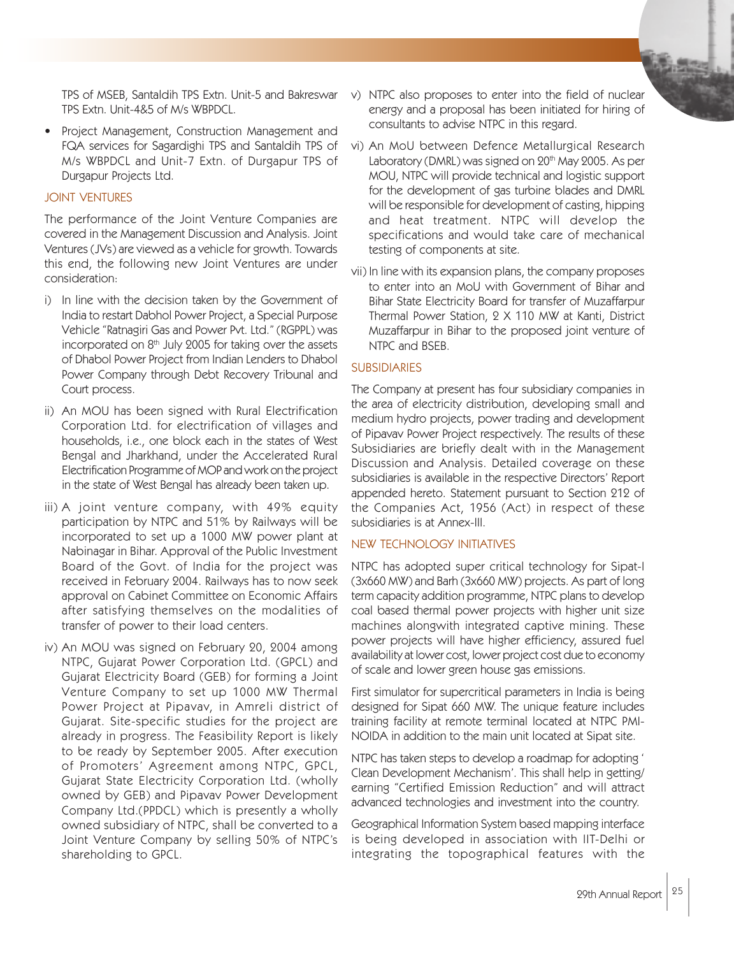TPS of MSEB, Santaldih TPS Extn. Unit-5 and Bakreswar TPS Extn. Unit-4&5 of M/s WBPDCL.

• Project Management, Construction Management and FQA services for Sagardighi TPS and Santaldih TPS of M/s WBPDCL and Unit-7 Extn. of Durgapur TPS of Durgapur Projects Ltd.

### JOINT VENTURES

The performance of the Joint Venture Companies are covered in the Management Discussion and Analysis. Joint Ventures (JVs) are viewed as a vehicle for growth. Towards this end, the following new Joint Ventures are under consideration:

- i) In line with the decision taken by the Government of India to restart Dabhol Power Project, a Special Purpose Vehicle "Ratnagiri Gas and Power Pvt. Ltd." (RGPPL) was incorporated on  $8<sup>th</sup>$  July 2005 for taking over the assets of Dhabol Power Project from Indian Lenders to Dhabol Power Company through Debt Recovery Tribunal and Court process.
- ii) An MOU has been signed with Rural Electrification Corporation Ltd. for electrification of villages and households, i.e., one block each in the states of West Bengal and Jharkhand, under the Accelerated Rural Electrification Programme of MOP and work on the project in the state of West Bengal has already been taken up.
- iii) A joint venture company, with 49% equity participation by NTPC and 51% by Railways will be incorporated to set up a 1000 MW power plant at Nabinagar in Bihar. Approval of the Public Investment Board of the Govt. of India for the project was received in February 2004. Railways has to now seek approval on Cabinet Committee on Economic Affairs after satisfying themselves on the modalities of transfer of power to their load centers.
- iv) An MOU was signed on February 20, 2004 among NTPC, Gujarat Power Corporation Ltd. (GPCL) and Gujarat Electricity Board (GEB) for forming a Joint Venture Company to set up 1000 MW Thermal Power Project at Pipavav, in Amreli district of Gujarat. Site-specific studies for the project are already in progress. The Feasibility Report is likely to be ready by September 2005. After execution of Promoters' Agreement among NTPC, GPCL, Gujarat State Electricity Corporation Ltd. (wholly owned by GEB) and Pipavav Power Development Company Ltd.(PPDCL) which is presently a wholly owned subsidiary of NTPC, shall be converted to a Joint Venture Company by selling 50% of NTPC's shareholding to GPCL.
- v) NTPC also proposes to enter into the field of nuclear energy and a proposal has been initiated for hiring of consultants to advise NTPC in this regard.
- vi) An MoU between Defence Metallurgical Research Laboratory (DMRL) was signed on 20<sup>th</sup> May 2005. As per MOU, NTPC will provide technical and logistic support for the development of gas turbine blades and DMRL will be responsible for development of casting, hipping and heat treatment. NTPC will develop the specifications and would take care of mechanical testing of components at site.
- vii) In line with its expansion plans, the company proposes to enter into an MoU with Government of Bihar and Bihar State Electricity Board for transfer of Muzaffarpur Thermal Power Station, 2 X 110 MW at Kanti, District Muzaffarpur in Bihar to the proposed joint venture of NTPC and BSEB.

## **SUBSIDIARIES**

The Company at present has four subsidiary companies in the area of electricity distribution, developing small and medium hydro projects, power trading and development of Pipavav Power Project respectively. The results of these Subsidiaries are briefly dealt with in the Management Discussion and Analysis. Detailed coverage on these subsidiaries is available in the respective Directors' Report appended hereto. Statement pursuant to Section 212 of the Companies Act, 1956 (Act) in respect of these subsidiaries is at Annex-III.

#### NEW TECHNOLOGY INITIATIVES

NTPC has adopted super critical technology for Sipat-I (3x660 MW) and Barh (3x660 MW) projects. As part of long term capacity addition programme, NTPC plans to develop coal based thermal power projects with higher unit size machines alongwith integrated captive mining. These power projects will have higher efficiency, assured fuel availability at lower cost, lower project cost due to economy of scale and lower green house gas emissions.

First simulator for supercritical parameters in India is being designed for Sipat 660 MW. The unique feature includes training facility at remote terminal located at NTPC PMI-NOIDA in addition to the main unit located at Sipat site.

NTPC has taken steps to develop a roadmap for adopting ' Clean Development Mechanism'. This shall help in getting/ earning "Certified Emission Reduction" and will attract advanced technologies and investment into the country.

Geographical Information System based mapping interface is being developed in association with IIT-Delhi or integrating the topographical features with the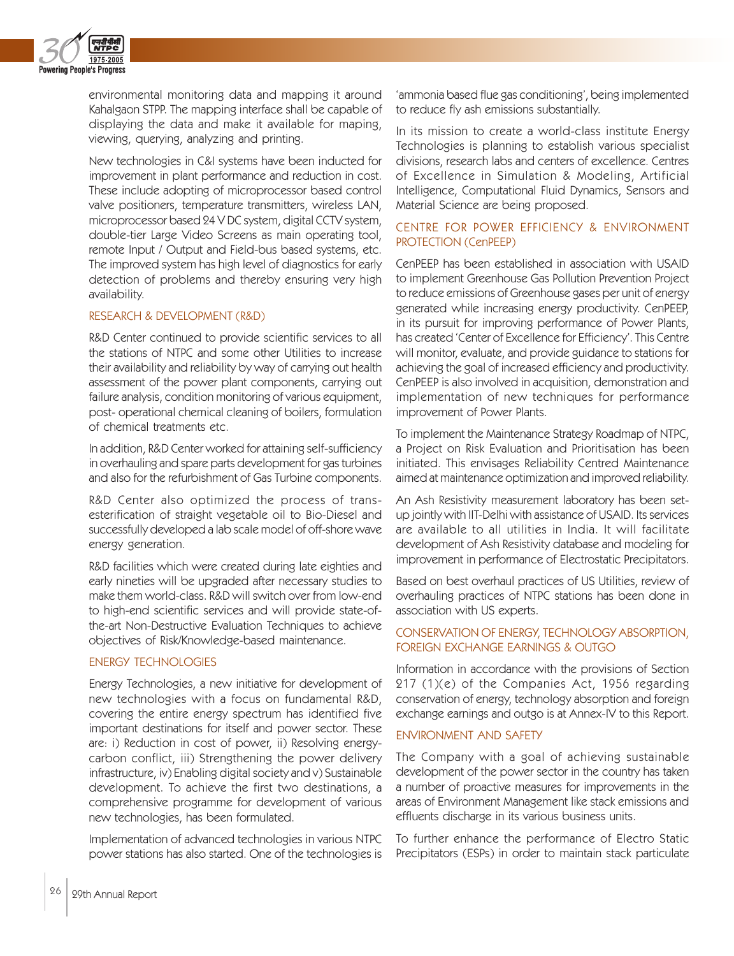

environmental monitoring data and mapping it around Kahalgaon STPP. The mapping interface shall be capable of displaying the data and make it available for maping, viewing, querying, analyzing and printing.

New technologies in C&I systems have been inducted for improvement in plant performance and reduction in cost. These include adopting of microprocessor based control valve positioners, temperature transmitters, wireless LAN, microprocessor based 24 V DC system, digital CCTV system, double-tier Large Video Screens as main operating tool, remote Input / Output and Field-bus based systems, etc. The improved system has high level of diagnostics for early detection of problems and thereby ensuring very high availability.

#### RESEARCH & DEVELOPMENT (R&D)

R&D Center continued to provide scientific services to all the stations of NTPC and some other Utilities to increase their availability and reliability by way of carrying out health assessment of the power plant components, carrying out failure analysis, condition monitoring of various equipment, post- operational chemical cleaning of boilers, formulation of chemical treatments etc.

In addition, R&D Center worked for attaining self-sufficiency in overhauling and spare parts development for gas turbines and also for the refurbishment of Gas Turbine components.

R&D Center also optimized the process of transesterification of straight vegetable oil to Bio-Diesel and successfully developed a lab scale model of off-shore wave energy generation.

R&D facilities which were created during late eighties and early nineties will be upgraded after necessary studies to make them world-class. R&D will switch over from low-end to high-end scientific services and will provide state-ofthe-art Non-Destructive Evaluation Techniques to achieve objectives of Risk/Knowledge-based maintenance.

# ENERGY TECHNOLOGIES

Energy Technologies, a new initiative for development of new technologies with a focus on fundamental R&D, covering the entire energy spectrum has identified five important destinations for itself and power sector. These are: i) Reduction in cost of power, ii) Resolving energycarbon conflict, iii) Strengthening the power delivery infrastructure, iv) Enabling digital society and v) Sustainable development. To achieve the first two destinations, a comprehensive programme for development of various new technologies, has been formulated.

Implementation of advanced technologies in various NTPC power stations has also started. One of the technologies is

'ammonia based flue gas conditioning', being implemented to reduce fly ash emissions substantially.

In its mission to create a world-class institute Energy Technologies is planning to establish various specialist divisions, research labs and centers of excellence. Centres of Excellence in Simulation & Modeling, Artificial Intelligence, Computational Fluid Dynamics, Sensors and Material Science are being proposed.

## CENTRE FOR POWER EFFICIENCY & ENVIRONMENT PROTECTION (CenPEEP)

CenPEEP has been established in association with USAID to implement Greenhouse Gas Pollution Prevention Project to reduce emissions of Greenhouse gases per unit of energy generated while increasing energy productivity. CenPEEP, in its pursuit for improving performance of Power Plants, has created 'Center of Excellence for Efficiency'. This Centre will monitor, evaluate, and provide guidance to stations for achieving the goal of increased efficiency and productivity. CenPEEP is also involved in acquisition, demonstration and implementation of new techniques for performance improvement of Power Plants.

To implement the Maintenance Strategy Roadmap of NTPC, a Project on Risk Evaluation and Prioritisation has been initiated. This envisages Reliability Centred Maintenance aimed at maintenance optimization and improved reliability.

An Ash Resistivity measurement laboratory has been setup jointly with IIT-Delhi with assistance of USAID. Its services are available to all utilities in India. It will facilitate development of Ash Resistivity database and modeling for improvement in performance of Electrostatic Precipitators.

Based on best overhaul practices of US Utilities, review of overhauling practices of NTPC stations has been done in association with US experts.

## CONSERVATION OF ENERGY, TECHNOLOGY ABSORPTION, FOREIGN EXCHANGE EARNINGS & OUTGO

Information in accordance with the provisions of Section 217 (1)(e) of the Companies Act, 1956 regarding conservation of energy, technology absorption and foreign exchange earnings and outgo is at Annex-IV to this Report.

### ENVIRONMENT AND SAFETY

The Company with a goal of achieving sustainable development of the power sector in the country has taken a number of proactive measures for improvements in the areas of Environment Management like stack emissions and effluents discharge in its various business units.

To further enhance the performance of Electro Static Precipitators (ESPs) in order to maintain stack particulate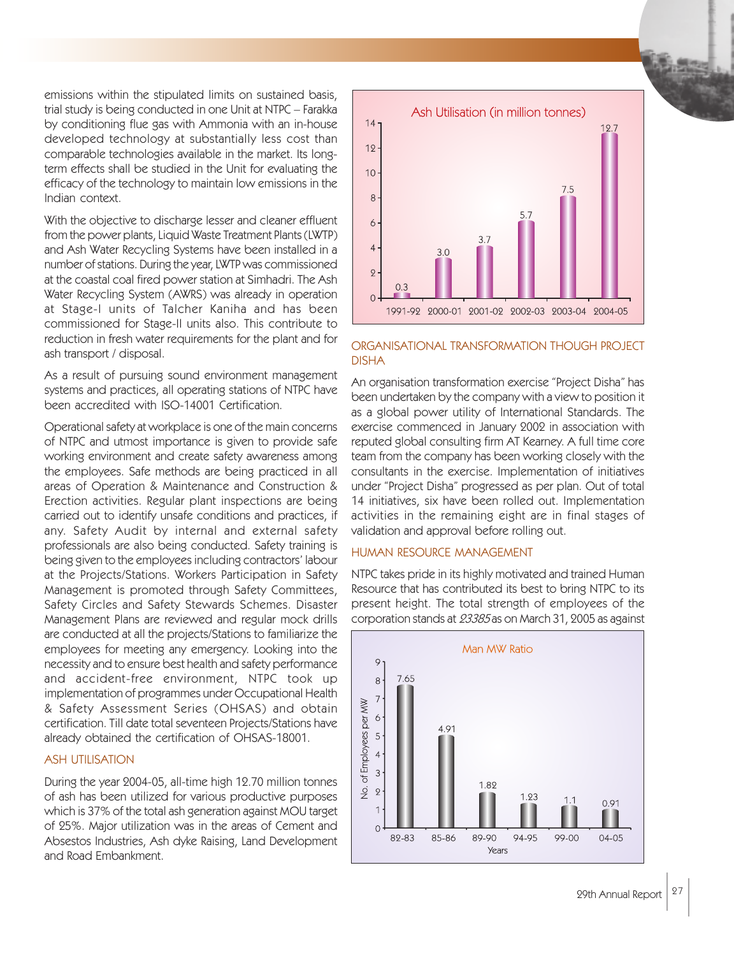emissions within the stipulated limits on sustained basis, trial study is being conducted in one Unit at NTPC – Farakka by conditioning flue gas with Ammonia with an in-house developed technology at substantially less cost than comparable technologies available in the market. Its longterm effects shall be studied in the Unit for evaluating the efficacy of the technology to maintain low emissions in the Indian context.

With the objective to discharge lesser and cleaner effluent from the power plants, Liquid Waste Treatment Plants (LWTP) and Ash Water Recycling Systems have been installed in a number of stations. During the year, LWTP was commissioned at the coastal coal fired power station at Simhadri. The Ash Water Recycling System (AWRS) was already in operation at Stage-I units of Talcher Kaniha and has been commissioned for Stage-II units also. This contribute to reduction in fresh water requirements for the plant and for ash transport / disposal.

As a result of pursuing sound environment management systems and practices, all operating stations of NTPC have been accredited with ISO-14001 Certification.

Operational safety at workplace is one of the main concerns of NTPC and utmost importance is given to provide safe working environment and create safety awareness among the employees. Safe methods are being practiced in all areas of Operation & Maintenance and Construction & Erection activities. Regular plant inspections are being carried out to identify unsafe conditions and practices, if any. Safety Audit by internal and external safety professionals are also being conducted. Safety training is being given to the employees including contractors' labour at the Projects/Stations. Workers Participation in Safety Management is promoted through Safety Committees, Safety Circles and Safety Stewards Schemes. Disaster Management Plans are reviewed and regular mock drills are conducted at all the projects/Stations to familiarize the employees for meeting any emergency. Looking into the necessity and to ensure best health and safety performance and accident-free environment, NTPC took up implementation of programmes under Occupational Health & Safety Assessment Series (OHSAS) and obtain certification. Till date total seventeen Projects/Stations have already obtained the certification of OHSAS-18001.

## ASH UTILISATION

During the year 2004-05, all-time high 12.70 million tonnes of ash has been utilized for various productive purposes which is 37% of the total ash generation against MOU target of 25%. Major utilization was in the areas of Cement and Absestos Industries, Ash dyke Raising, Land Development and Road Embankment.



### ORGANISATIONAL TRANSFORMATION THOUGH PROJECT DISHA

An organisation transformation exercise "Project Disha" has been undertaken by the company with a view to position it as a global power utility of International Standards. The exercise commenced in January 2002 in association with reputed global consulting firm AT Kearney. A full time core team from the company has been working closely with the consultants in the exercise. Implementation of initiatives under "Project Disha" progressed as per plan. Out of total 14 initiatives, six have been rolled out. Implementation activities in the remaining eight are in final stages of validation and approval before rolling out.

## HUMAN RESOURCE MANAGEMENT

NTPC takes pride in its highly motivated and trained Human Resource that has contributed its best to bring NTPC to its present height. The total strength of employees of the corporation stands at 23385 as on March 31, 2005 as against

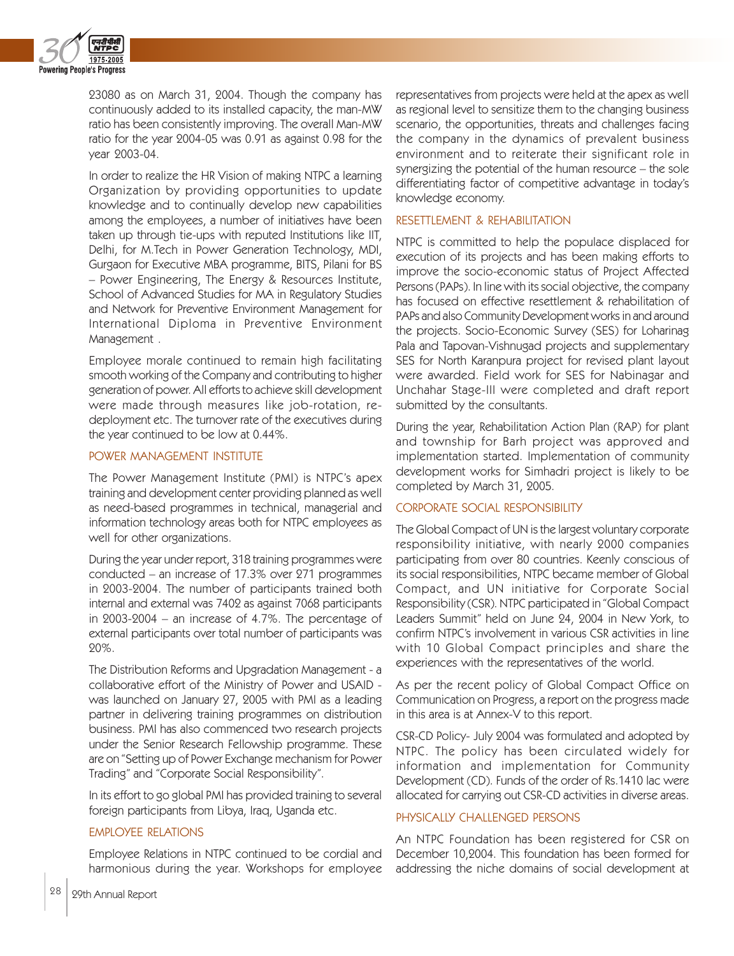

23080 as on March 31, 2004. Though the company has continuously added to its installed capacity, the man-MW ratio has been consistently improving. The overall Man-MW ratio for the year 2004-05 was 0.91 as against 0.98 for the year 2003-04.

In order to realize the HR Vision of making NTPC a learning Organization by providing opportunities to update knowledge and to continually develop new capabilities among the employees, a number of initiatives have been taken up through tie-ups with reputed Institutions like IIT, Delhi, for M.Tech in Power Generation Technology, MDI, Gurgaon for Executive MBA programme, BITS, Pilani for BS – Power Engineering, The Energy & Resources Institute, School of Advanced Studies for MA in Regulatory Studies and Network for Preventive Environment Management for International Diploma in Preventive Environment Management .

Employee morale continued to remain high facilitating smooth working of the Company and contributing to higher generation of power. All efforts to achieve skill development were made through measures like job-rotation, redeployment etc. The turnover rate of the executives during the year continued to be low at 0.44%.

## POWER MANAGEMENT INSTITUTE

The Power Management Institute (PMI) is NTPC's apex training and development center providing planned as well as need-based programmes in technical, managerial and information technology areas both for NTPC employees as well for other organizations.

During the year under report, 318 training programmes were conducted – an increase of 17.3% over 271 programmes in 2003-2004. The number of participants trained both internal and external was 7402 as against 7068 participants in 2003-2004 – an increase of 4.7%. The percentage of external participants over total number of participants was 20%.

The Distribution Reforms and Upgradation Management - a collaborative effort of the Ministry of Power and USAID was launched on January 27, 2005 with PMI as a leading partner in delivering training programmes on distribution business. PMI has also commenced two research projects under the Senior Research Fellowship programme. These are on "Setting up of Power Exchange mechanism for Power Trading" and "Corporate Social Responsibility".

In its effort to go global PMI has provided training to several foreign participants from Libya, Iraq, Uganda etc.

## EMPLOYEE RELATIONS

Employee Relations in NTPC continued to be cordial and harmonious during the year. Workshops for employee

representatives from projects were held at the apex as well as regional level to sensitize them to the changing business scenario, the opportunities, threats and challenges facing the company in the dynamics of prevalent business environment and to reiterate their significant role in synergizing the potential of the human resource – the sole differentiating factor of competitive advantage in today's knowledge economy.

### RESETTLEMENT & REHABILITATION

NTPC is committed to help the populace displaced for execution of its projects and has been making efforts to improve the socio-economic status of Project Affected Persons (PAPs). In line with its social objective, the company has focused on effective resettlement & rehabilitation of PAPs and also Community Development works in and around the projects. Socio-Economic Survey (SES) for Loharinag Pala and Tapovan-Vishnugad projects and supplementary SES for North Karanpura project for revised plant layout were awarded. Field work for SES for Nabinagar and Unchahar Stage-III were completed and draft report submitted by the consultants.

During the year, Rehabilitation Action Plan (RAP) for plant and township for Barh project was approved and implementation started. Implementation of community development works for Simhadri project is likely to be completed by March 31, 2005.

### CORPORATE SOCIAL RESPONSIBILITY

The Global Compact of UN is the largest voluntary corporate responsibility initiative, with nearly 2000 companies participating from over 80 countries. Keenly conscious of its social responsibilities, NTPC became member of Global Compact, and UN initiative for Corporate Social Responsibility (CSR). NTPC participated in "Global Compact Leaders Summit" held on June 24, 2004 in New York, to confirm NTPC's involvement in various CSR activities in line with 10 Global Compact principles and share the experiences with the representatives of the world.

As per the recent policy of Global Compact Office on Communication on Progress, a report on the progress made in this area is at Annex-V to this report.

CSR-CD Policy- July 2004 was formulated and adopted by NTPC. The policy has been circulated widely for information and implementation for Community Development (CD). Funds of the order of Rs.1410 lac were allocated for carrying out CSR-CD activities in diverse areas.

#### PHYSICALLY CHALLENGED PERSONS

An NTPC Foundation has been registered for CSR on December 10,2004. This foundation has been formed for addressing the niche domains of social development at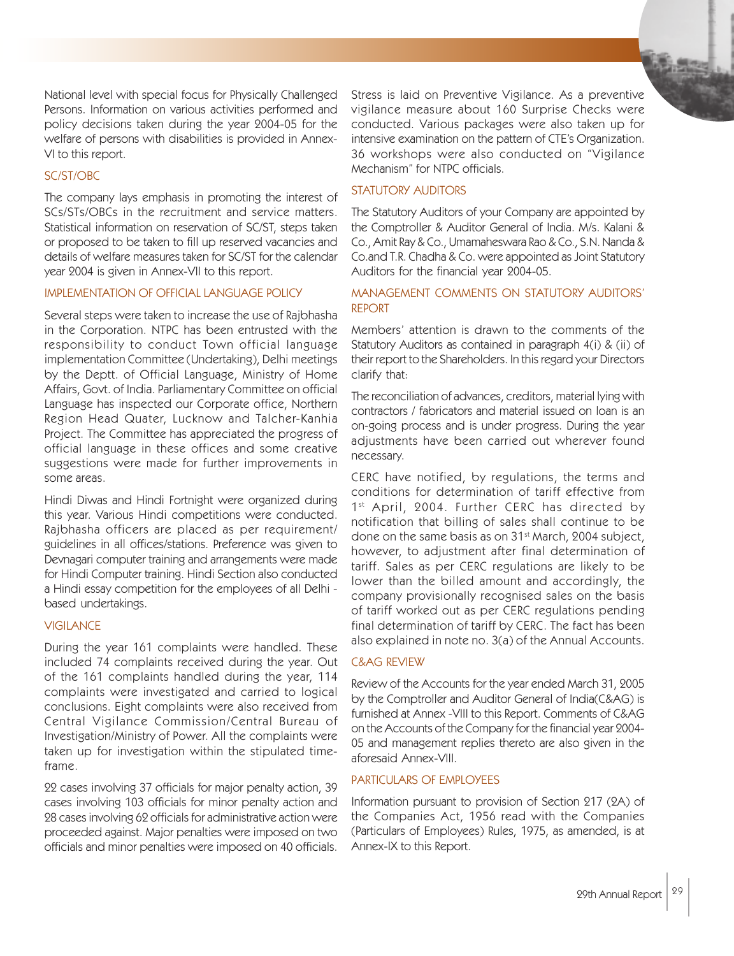National level with special focus for Physically Challenged Persons. Information on various activities performed and policy decisions taken during the year 2004-05 for the welfare of persons with disabilities is provided in Annex-VI to this report.

## SC/ST/OBC

The company lays emphasis in promoting the interest of SCs/STs/OBCs in the recruitment and service matters. Statistical information on reservation of SC/ST, steps taken or proposed to be taken to fill up reserved vacancies and details of welfare measures taken for SC/ST for the calendar year 2004 is given in Annex-VII to this report.

#### IMPLEMENTATION OF OFFICIAL LANGUAGE POLICY

Several steps were taken to increase the use of Rajbhasha in the Corporation. NTPC has been entrusted with the responsibility to conduct Town official language implementation Committee (Undertaking), Delhi meetings by the Deptt. of Official Language, Ministry of Home Affairs, Govt. of India. Parliamentary Committee on official Language has inspected our Corporate office, Northern Region Head Quater, Lucknow and Talcher-Kanhia Project. The Committee has appreciated the progress of official language in these offices and some creative suggestions were made for further improvements in some areas.

Hindi Diwas and Hindi Fortnight were organized during this year. Various Hindi competitions were conducted. Rajbhasha officers are placed as per requirement/ guidelines in all offices/stations. Preference was given to Devnagari computer training and arrangements were made for Hindi Computer training. Hindi Section also conducted a Hindi essay competition for the employees of all Delhi based undertakings.

### **VIGILANCE**

During the year 161 complaints were handled. These included 74 complaints received during the year. Out of the 161 complaints handled during the year, 114 complaints were investigated and carried to logical conclusions. Eight complaints were also received from Central Vigilance Commission/Central Bureau of Investigation/Ministry of Power. All the complaints were taken up for investigation within the stipulated timeframe.

22 cases involving 37 officials for major penalty action, 39 cases involving 103 officials for minor penalty action and 28 cases involving 62 officials for administrative action were proceeded against. Major penalties were imposed on two officials and minor penalties were imposed on 40 officials.

Stress is laid on Preventive Vigilance. As a preventive vigilance measure about 160 Surprise Checks were conducted. Various packages were also taken up for intensive examination on the pattern of CTE's Organization. 36 workshops were also conducted on "Vigilance Mechanism" for NTPC officials.

### STATUTORY AUDITORS

The Statutory Auditors of your Company are appointed by the Comptroller & Auditor General of India. M/s. Kalani & Co., Amit Ray & Co., Umamaheswara Rao & Co., S.N. Nanda & Co.and T.R. Chadha & Co. were appointed as Joint Statutory Auditors for the financial year 2004-05.

# MANAGEMENT COMMENTS ON STATUTORY AUDITORS' REPORT

Members' attention is drawn to the comments of the Statutory Auditors as contained in paragraph 4(i) & (ii) of their report to the Shareholders. In this regard your Directors clarify that:

The reconciliation of advances, creditors, material lying with contractors / fabricators and material issued on loan is an on-going process and is under progress. During the year adjustments have been carried out wherever found necessary.

CERC have notified, by regulations, the terms and conditions for determination of tariff effective from 1<sup>st</sup> April, 2004. Further CERC has directed by notification that billing of sales shall continue to be done on the same basis as on 31st March, 2004 subject, however, to adjustment after final determination of tariff. Sales as per CERC regulations are likely to be lower than the billed amount and accordingly, the company provisionally recognised sales on the basis of tariff worked out as per CERC regulations pending final determination of tariff by CERC. The fact has been also explained in note no. 3(a) of the Annual Accounts.

## C&AG REVIEW

Review of the Accounts for the year ended March 31, 2005 by the Comptroller and Auditor General of India(C&AG) is furnished at Annex -VIII to this Report. Comments of C&AG on the Accounts of the Company for the financial year 2004- 05 and management replies thereto are also given in the aforesaid Annex-VIII.

## PARTICULARS OF EMPLOYEES

Information pursuant to provision of Section 217 (2A) of the Companies Act, 1956 read with the Companies (Particulars of Employees) Rules, 1975, as amended, is at Annex-IX to this Report.